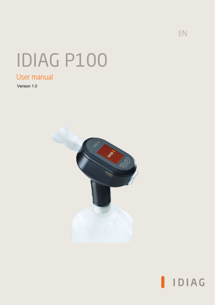## EN

# IDIAG P100

## User manual

Version 1.0



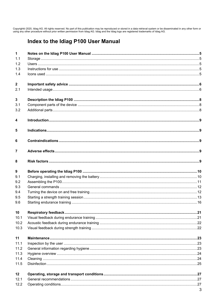Copyright© 2020, Idiag AG. All rights reserved. No part of this publication may be reproduced or stored in a data retrieval system or be disseminated in any other form or<br>using any other procedure without prior written per

## Index to the Idiag P100 User Manual

| $\mathbf{1}$            |  |
|-------------------------|--|
| 1.1                     |  |
| 1.2                     |  |
| 1.3                     |  |
| 1.4                     |  |
| $\overline{\mathbf{2}}$ |  |
| 2.1                     |  |
| $\overline{\mathbf{3}}$ |  |
| 3.1                     |  |
| 3.2                     |  |
| 4                       |  |
| 5                       |  |
| 6                       |  |
| $\overline{7}$          |  |
| 8                       |  |
| 9                       |  |
| 9.1                     |  |
| 9.2                     |  |
| 9.3                     |  |
| 9.4                     |  |
| 9.5                     |  |
| 9.6                     |  |
| 10                      |  |
| 10.1                    |  |
| 10.2                    |  |
| 10.3                    |  |
| 11                      |  |
| 11.1                    |  |
| 11.2                    |  |
| 11.3                    |  |
| 11.4                    |  |
| 11.5                    |  |
| 12                      |  |
| 12.1                    |  |
| 12.2                    |  |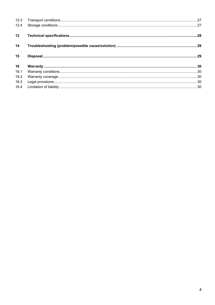| 12.4 |  |
|------|--|
| 13   |  |
| 14   |  |
| 15   |  |
| 16   |  |
| 16.1 |  |
| 16.2 |  |
| 16.3 |  |
| 16.4 |  |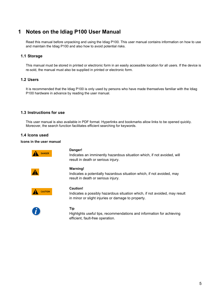## <span id="page-3-0"></span>**1 Notes on the Idiag P100 User Manual**

Read this manual before unpacking and using the Idiag P100. This user manual contains information on how to use and maintain the Idiag P100 and also how to avoid potential risks.

#### <span id="page-3-1"></span>**1.1 Storage**

This manual must be stored in printed or electronic form in an easily accessible location for all users. If the device is re-sold, the manual must also be supplied in printed or electronic form.

#### <span id="page-3-2"></span>**1.2 Users**

It is recommended that the Idiag P100 is only used by persons who have made themselves familiar with the Idiag P100 hardware in advance by reading the user manual.

#### <span id="page-3-3"></span>**1.3 Instructions for use**

This user manual is also available in PDF format. Hyperlinks and bookmarks allow links to be opened quickly. Moreover, the search function facilitates efficient searching for keywords.

#### <span id="page-3-4"></span>**1.4 Icons used**

#### **Icons in the user manual**



#### **Danger!**

Indicates an imminently hazardous situation which, if not avoided, will result in death or serious injury.



#### **Warning!**

Indicates a potentially hazardous situation which, if not avoided, may result in death or serious injury.



#### **Caution!**

Indicates a possibly hazardous situation which, if not avoided, may result in minor or slight injuries or damage to property.



#### **Tip**

Highlights useful tips, recommendations and information for achieving efficient, fault-free operation.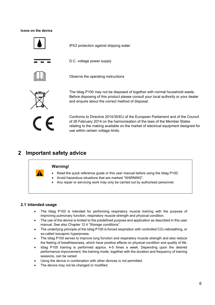#### **Icons on the device**



IPX2 protection against dripping water

D.C. voltage power supply



Observe the operating instructions



The Idiag P100 may not be disposed of together with normal household waste. Before disposing of this product please consult your local authority or your dealer and enquire about the correct method of disposal.



Conforms to Directive 2014/35/EU of the European Parliament and of the Council of 26 February 2014 on the harmonisation of the laws of the Member States relating to the making available on the market of electrical equipment designed for use within certain voltage limits.

## <span id="page-4-0"></span>**2 Important safety advice**

#### **Warning!**

- Read the quick reference guide or this user manual before using the Idiag P100.
- Avoid hazardous situations that are marked "WARNING".
- Any repair or servicing work may only be carried out by authorised personnel.

#### <span id="page-4-1"></span>**2.1 Intended usage**

- The Idiag P100 is intended for performing respiratory muscle training with the purpose of improving pulmonary function, respiratory muscle strength and physical condition.
- The use of the device is limited to the predefined purpose and application as described in this user manual. See also Chapter 12.4 "Storage conditions".
- The underlying principle of the Idiag P100 is forced respiration with controlled CO<sub>2</sub>-rebreathing, or so-called isocapnic hyperpnoea.
- The Idiag P100 serves to improve lung function and respiratory muscle strength and also reduce the feeling of breathlessness, which have positive effects on physical condition and quality of life.
- Idiag P100 training is performed approx. 4-5 times a week. Depending upon the desired performance improvement, the training mode, together with the duration and frequency of training sessions, can be varied.
- Using the device in combination with other devices is not permitted.
- The device may not be changed or modified.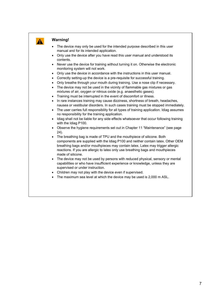

#### **Warning!**

- The device may only be used for the intended purpose described in this user manual and for its intended application.
- Only use the device after you have read this user manual and understood its contents.
- Never use the device for training without turning it on. Otherwise the electronic monitoring system will not work.
- Only use the device in accordance with the instructions in this user manual.
- Correctly setting-up the device is a pre-requisite for successful training.
- Only breathe through your mouth during training. Use a nose clip if necessary.
- The device may not be used in the vicinity of flammable gas mixtures or gas mixtures of air, oxygen or nitrous oxide (e.g. anaesthetic gases).
- Training must be interrupted in the event of discomfort or illness.
- In rare instances training may cause dizziness, shortness of breath, headaches, nausea or vestibular disorders. In such cases training must be stopped immediately.
- The user carries full responsibility for all types of training application. Idiag assumes no responsibility for the training application.
- Idiag shall not be liable for any side effects whatsoever that occur following training with the Idiag P100.
- Observe the hygiene requirements set out in Chapter 11 "Maintenance" (see page 24).
- The breathing bag is made of TPU and the mouthpiece of silicone. Both components are supplied with the Idiag P100 and neither contain latex. Other OEM breathing bags and/or mouthpieces may contain latex. Latex may trigger allergic reactions. If you are allergic to latex only use breathing bags and mouthpieces made of silicone.
- The device may not be used by persons with reduced physical, sensory or mental capabilities or who have insufficient experience or knowledge, unless they are supervised or under instruction.
- Children may not play with the device even if supervised.
- The maximum sea level at which the device may be used is 2,000 m ASL.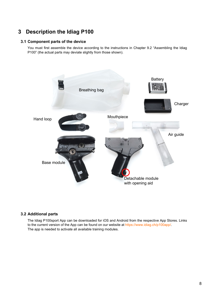## <span id="page-6-0"></span>**3 Description the Idiag P100**

#### <span id="page-6-1"></span>**3.1 Component parts of the device**

You must first assemble the device according to the instructions in Chapter 9.2 "Assembling the Idiag P100" (the actual parts may deviate slightly from those shown).



#### <span id="page-6-2"></span>**3.2 Additional parts**

The Idiag P100sport App can be downloaded for iOS and Android from the respective App Stores. Links to the current version of the App can be found on our website at [https://www.idiag.ch/p100app/.](https://www.idiag.ch/p100app/) The app is needed to activate all available training modules.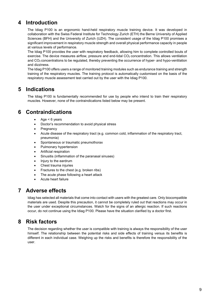## <span id="page-7-0"></span>**4 Introduction**

The Idiag P100 is an ergonomic hand-held respiratory muscle training device. It was developed in collaboration with the Swiss Federal Institute for Technology Zurich (ETH) the Berne University of Applied Sciences (BFH) and the University of Zurich (UZH). The consistent usage of the Idiag P100 promises a significant improvement in respiratory muscle strength and overall physical performance capacity in people at various levels of performance.

The Idiag P100 provides the user with respiratory feedback, allowing him to complete controlled bouts of exercise. The device measures airflow, pressure and end-tidal CO<sub>2</sub> concentration. This allows ventilation and CO2 concentrations to be regulated, thereby preventing the occurrence of hyper- and hypo-ventilation and dizziness.

The Idiag P100 offers users a range of monitored training modules such as endurance training and strength training of the respiratory muscles. The training protocol is automatically customised on the basis of the respiratory muscle assessment test carried out by the user with the Idiag P100.

## <span id="page-7-1"></span>**5 Indications**

The Idiag P100 is fundamentally recommended for use by people who intend to train their respiratory muscles. However, none of the contraindications listed below may be present.

## <span id="page-7-2"></span>**6 Contraindications**

- Age  $< 6$  years
- Doctor's recommendation to avoid physical stress
- **Pregnancy**
- Acute disease of the respiratory tract (e.g. common cold, inflammation of the respiratory tract, pneumonia)
- Spontaneous or traumatic pneumothorax
- Pulmonary hypertension
- Artificial respiration
- Sinusitis (inflammation of the paranasal sinuses)
- Injury to the eardrum
- Chest trauma injuries
- Fractures to the chest (e.g. broken ribs)
- The acute phase following a heart attack
- Acute heart failure

## <span id="page-7-3"></span>**7 Adverse effects**

Idiag has selected all materials that come into contact with users with the greatest care. Only biocompatible materials are used. Despite this precaution, it cannot be completely ruled out that reactions may occur in the user under exceptional circumstances. Watch for the signs of an allergic reaction. If such reactions occur, do not continue using the Idiag P100. Please have the situation clarified by a doctor first.

## <span id="page-7-4"></span>**8 Risk factors**

The decision regarding whether the user is compatible with training is always the responsibility of the user himself. The relationship between the potential risks and side effects of training versus its benefits is different in each individual case. Weighing up the risks and benefits is therefore the responsibility of the user.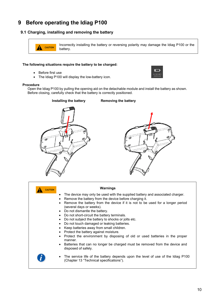## <span id="page-8-0"></span>**9 Before operating the Idiag P100**

#### <span id="page-8-1"></span>**9.1 Charging, installing and removing the battery**

```
Incorrectly installing the battery or reversing polarity may damage the Idiag P100 or the 
CAUTION4
          battery.
```
#### **The following situations require the battery to be charged:**

- Before first use
- The Idiag P100 will display the low-battery icon.



#### **Procedure**

Open the Idiag P100 by pulling the opening aid on the detachable module and install the battery as shown. Before closing, carefully check that the battery is correctly positioned.



| <b>CAUTION</b>                                                                    | Warnings                                                                                                                                                                                                                                                                                                                                                                                                                                                                                                                                                                                                                   |
|-----------------------------------------------------------------------------------|----------------------------------------------------------------------------------------------------------------------------------------------------------------------------------------------------------------------------------------------------------------------------------------------------------------------------------------------------------------------------------------------------------------------------------------------------------------------------------------------------------------------------------------------------------------------------------------------------------------------------|
| ٠<br>٠<br>٠<br>$\bullet$<br>$\bullet$<br>$\bullet$<br>$\bullet$<br>٠<br>$\bullet$ | The device may only be used with the supplied battery and associated charger.<br>Remove the battery from the device before charging it.<br>Remove the battery from the device if it is not to be used for a longer period<br>(several days or weeks).<br>• Do not dismantle the battery.<br>Do not short-circuit the battery terminals.<br>Do not subject the battery to shocks or jolts etc.<br>Do not touch damaged or leaking batteries.<br>Keep batteries away from small children.<br>Protect the battery against moisture.<br>Protect the environment by disposing of old or used batteries in the proper<br>manner. |
|                                                                                   | • Batteries that can no longer be charged must be removed from the device and<br>disposed of safely.                                                                                                                                                                                                                                                                                                                                                                                                                                                                                                                       |
| ٠                                                                                 | The service life of the battery depends upon the level of use of the Idiag P100<br>(Chapter 13 "Technical specifications").                                                                                                                                                                                                                                                                                                                                                                                                                                                                                                |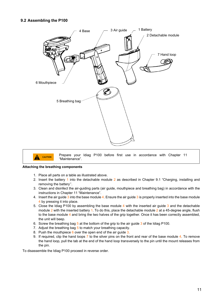#### <span id="page-9-0"></span>**9.2 Assembling the P100**



#### **Attaching the breathing components**

- 1. Place all parts on a table as illustrated above.
- 2. Insert the battery 1 into the detachable module 2 as described in Chapter 9.1 "Charging, installing and removing the battery''.
- 3. Clean and disinfect the air-guiding parts (air guide, mouthpiece and breathing bag) in accordance with the instructions in Chapter 11 "Maintenance".
- 4. Insert the air guide 3 into the base module 4. Ensure the air guide 3 is properly inserted into the base module 4 by pressing it into place.
- 5. Close the Idiag P100 by assembling the base module 4 with the inserted air guide 3 and the detachable module 2 with the inserted battery 1. To do this, place the detachable module 2 at a 45-degree angle, flush to the base module 4 and bring the two halves of the grip together. Once it has been correctly assembled, the unit will beep.
- 6. Screw the breathing bag  $5$  at the bottom of the grip to the air guide  $3$  of the Idiag P100.
- 7. Adjust the breathing bag 5 to match your breathing capacity.
- 8. Push the mouthpiece 6 over the open end of the air guide 3.
- 9. If required, clip the hand loops 7 to the silver pins on the front and rear of the base module 4. To remove the hand loop, pull the tab at the end of the hand loop transversely to the pin until the mount releases from the pin.

To disassemble the Idiag P100 proceed in reverse order.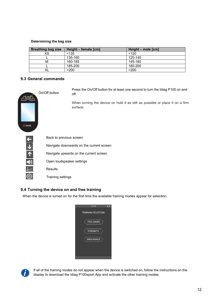#### **Determining the bag size**

| <b>Breathing bag size</b> | Height – female [cm] | Height – male [cm] |
|---------------------------|----------------------|--------------------|
| хs                        | < 135                | < 120              |
|                           | 135-160              | 120-145            |
| м                         | 160-185              | 145-180            |
|                           | 185-200              | 180-200            |
| XL                        | >200                 | >200               |

#### <span id="page-10-0"></span>**9.3 General commands**

| I IDIAG              | On/Off button             | Press the On/Off button for at least one second to turn the Idiag P100 on and<br>off.<br>When turning the device on hold it as still as possible or place it on a firm<br>surface. |  |  |
|----------------------|---------------------------|------------------------------------------------------------------------------------------------------------------------------------------------------------------------------------|--|--|
|                      |                           | Back to previous screen                                                                                                                                                            |  |  |
| $\downarrow$         |                           | Navigate downwards on the current screen                                                                                                                                           |  |  |
| $\pmb{\uparrow}$     |                           | Navigate upwards on the current screen                                                                                                                                             |  |  |
| $\blacktriangleleft$ | Open loudspeaker settings |                                                                                                                                                                                    |  |  |
|                      | <b>Results</b>            |                                                                                                                                                                                    |  |  |
| {Q}                  | Training settings         |                                                                                                                                                                                    |  |  |

#### <span id="page-10-1"></span>**9.4 Turning the device on and free training**

When the device is turned on for the first time the available training modes appear for selection.

| 12:30                     |  |
|---------------------------|--|
| <b>TRAINING SELECTION</b> |  |
| <b>FREE MODE</b>          |  |
| <b>STRENGTH</b>           |  |
| <b>ENDURANCE</b>          |  |
|                           |  |
|                           |  |



If all of the training modes do not appear when the device is switched on, follow the instructions on the display to download the Idiag P100sport App and activate the other training modes.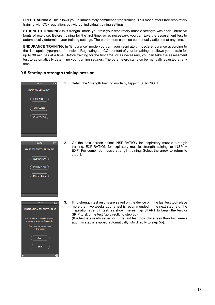**FREE TRAINING:** This allows you to immediately commence free training. This mode offers free respiratory training with  $CO<sub>2</sub>$  regulation, but without individual training settings.

**STRENGTH TRAINING:** In "Strength" mode you train your respiratory muscle strength with short, intensive bouts of exercise. Before training for the first time, or as necessary, you can take the assessment test to automatically determine your training settings. The parameters can also be manually adjusted at any time.

**ENDURANCE TRAINING:** In "Endurance" mode you train your respiratory muscle endurance according to the "isocapnic hyperpnoea" principle. Regulating the  $CO<sub>2</sub>$  content of your breathing air allows you to train for up to 30 minutes at a time. Before training for the first time, or as necessary, you can take the assessment test to automatically determine your training settings. The parameters can also be manually adjusted at any time.

#### **9.5 Starting a strength training session**

<span id="page-11-0"></span>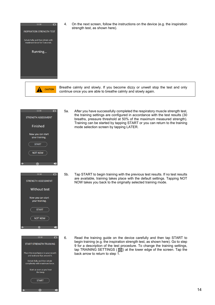

-(୦)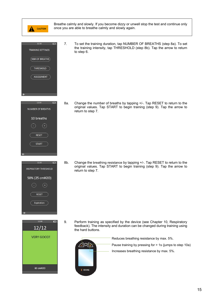

Breathe calmly and slowly. If you become dizzy or unwell stop the test and continue only once you are able to breathe calmly and slowly again.





12:30 D  $12/12$ **VERY GOOD!** 

60 cmH2O

7. To set the training duration, tap NUMBER OF BREATHS (step 8a). To set the training intensity, tap THRESHOLD (step 8b). Tap the arrow to return to step 6.

8a. Change the number of breaths by tapping +/-. Tap RESET to return to the original values. Tap START to begin training (step 9). Tap the arrow to return to step 7.

8b. Change the breathing resistance by tapping +/-. Tap RESET to return to the original values. Tap START to begin training (step 9). Tap the arrow to return to step 7.

9. Perform training as specified by the device (see Chapter 10, Respiratory feedback). The intensity and duration can be changed during training using the hard buttons.

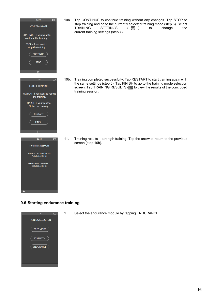

10a. Tap CONTINUE to continue training without any changes. Tap STOP to stop training and go to the currently selected training mode (step 6). Select<br>TRAINING SETTINGS (5) to change the SETTINGS ( @ ) to current training settings (step 7).

10b. Training completed successfully. Tap RESTART to start training again with the same settings (step 6). Tap FINISH to go to the training mode selection screen. Tap TRAINING RESULTS (**I**, to view the results of the concluded training session.

11. Training results – strength training. Tap the arrow to return to the previous screen (step 10b).

#### <span id="page-14-0"></span>**9.6 Starting endurance training**



1. Select the endurance module by tapping ENDURANCE.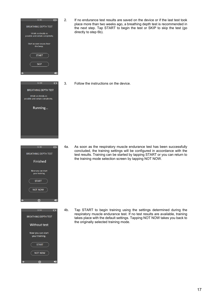





2. If no endurance test results are saved on the device or if the last test took place more than two weeks ago, a breathing depth test is recommended in the next step. Tap START to begin the test or SKIP to skip the test (go directly to step 6b).

3. Follow the instructions on the device.

4a. As soon as the respiratory muscle endurance test has been successfully concluded, the training settings will be configured in accordance with the test results. Training can be started by tapping START or you can return to the training mode selection screen by tapping NOT NOW.

4b. Tap START to begin training using the settings determined during the respiratory muscle endurance test. If no test results are available, training takes place with the default settings. Tapping NOT NOW takes you back to the originally selected training mode.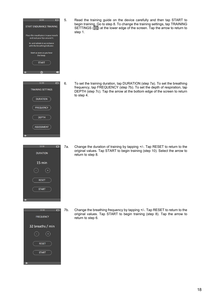

12:30  $\Box$ **DURATION** 15 min **RESET START** 



5. Read the training guide on the device carefully and then tap START to begin training. Go to step 8. To change the training settings, tap TRAINING SETTINGS ( $\circled{3}$ ) at the lower edge of the screen. Tap the arrow to return to step 1.

6. To set the training duration, tap DURATION (step 7a). To set the breathing frequency, tap FREQUENCY (step 7b). To set the depth of respiration, tap DEPTH (step 7c). Tap the arrow at the bottom edge of the screen to return to step 4.

7a. Change the duration of training by tapping +/-. Tap RESET to return to the original values. Tap START to begin training (step 10). Select the arrow to return to step 8.

7b. Change the breathing frequency by tapping +/-. Tap RESET to return to the original values. Tap START to begin training (step 8). Tap the arrow to return to step 6.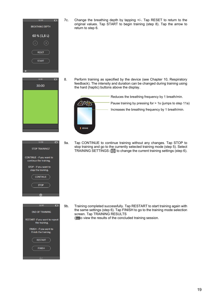

12:30

 $\Box$ 

7c. Change the breathing depth by tapping +/-. Tap RESET to return to the original values. Tap START to begin training (step 8). Tap the arrow to

8. Perform training as specified by the device (see Chapter 10, Respiratory feedback). The intensity and duration can be changed during training using the hard (haptic) buttons above the display.

Reduces the breathing frequency by 1 breath/min.

Pause training by pressing for > 1s (jumps to step 11a)

Increases the breathing frequency by 1 breath/min.

9a. Tap CONTINUE to continue training without any changes. Tap STOP to stop training and go to the currently selected training mode (step 5). Select TRAINING SETTINGS (**3)** to change the current training settings (step 6).

9b. Training completed successfully. Tap RESTART to start training again with the same settings (step 6). Tap FINISH to go to the training mode selection screen. Tap TRAINING RESULTS ( $\omega$  to view the results of the concluded training session.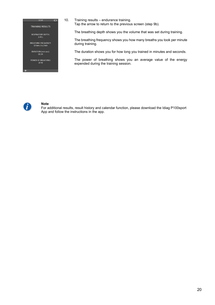12:30  $\Box$ **TRAINING RESULTS** 

RESPIRATORY DEPTH:<br>2.45 L

BREATHING FREQUENCY:<br>12 breaths / min

DURATION (min:sec):<br>02:34

POWER OF BREATHING:  $20W$ 

10. Training results – endurance training. Tap the arrow to return to the previous screen (step 9b).

The breathing depth shows you the volume that was set during training.

The breathing frequency shows you how many breaths you took per minute during training.

The duration shows you for how long you trained in minutes and seconds.

The power of breathing shows you an average value of the energy expended during the training session.



#### **Note**

For additional results, result history and calendar function, please download the Idiag P100sport App and follow the instructions in the app.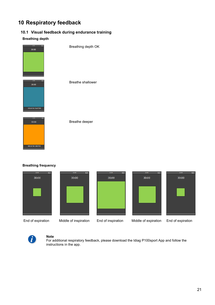## <span id="page-19-0"></span>**10 Respiratory feedback**

#### <span id="page-19-1"></span>**10.1 Visual feedback during endurance training**

#### **Breathing depth**



Breathe deeper

#### **Breathing frequency**

BREATHE DEEPER











End of expiration

Middle of inspiration End of inspiration Middle of expiration End of expiration



#### **Note**

For additional respiratory feedback, please download the Idiag P100sport App and follow the instructions in the app.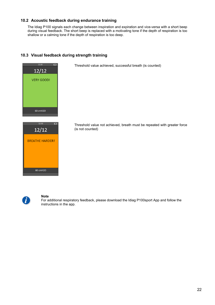#### <span id="page-20-0"></span>**10.2 Acoustic feedback during endurance training**

The Idiag P100 signals each change between inspiration and expiration and vice-versa with a short beep during visual feedback. The short beep is replaced with a motivating tone if the depth of respiration is too shallow or a calming tone if the depth of respiration is too deep.



#### <span id="page-20-1"></span>**10.3 Visual feedback during strength training**



#### **Note**

For additional respiratory feedback, please download the Idiag P100sport App and follow the instructions in the app.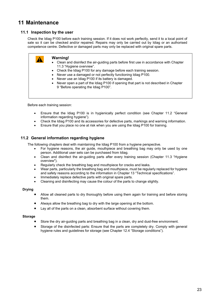## <span id="page-21-0"></span>**11 Maintenance**

#### <span id="page-21-1"></span>**11.1 Inspection by the user**

Check the Idiag P100 before each training session. If it does not work perfectly, send it to a local point of sale so it can be checked and/or repaired. Repairs may only be carried out by Idiag or an authorised competence centre. Defective or damaged parts may only be replaced with original spare parts.

|--|

Before each training session:

- Ensure that the Idiag P100 is in hygienically perfect condition (see Chapter 11.2 "General information regarding hygiene").
- Check the Idiag P100 and its accessories for defective parts, markings and warning information.
- Ensure that you place no one at risk when you are using the Idiag P100 for training.

#### <span id="page-21-2"></span>**11.2 General information regarding hygiene**

The following chapters deal with maintaining the Idiag P100 from a hygiene perspective.

- For hygiene reasons, the air guide, mouthpiece and breathing bag may only be used by one person. Additional user sets can be purchased from Idiag.
- Clean and disinfect the air-guiding parts after every training session (Chapter 11.3 "Hygiene overview").
- Regularly check the breathing bag and mouthpiece for cracks and leaks.
- Wear parts, particularly the breathing bag and mouthpiece, must be regularly replaced for hygiene and safety reasons according to the information in Chapter 13 "Technical specifications".
- Immediately replace defective parts with original spare parts.
- Cleaning and disinfecting may cause the colour of the parts to change slightly.

#### **Drying**

- Allow all cleaned parts to dry thoroughly before using them again for training and before storing them.
- Always allow the breathing bag to dry with the large opening at the bottom.
- Lay all of the parts on a clean, absorbent surface without covering them.

#### **Storage**

- Store the dry air-guiding parts and breathing bag in a clean, dry and dust-free environment.
- Storage of the disinfected parts: Ensure that the parts are completely dry. Comply with general hygiene rules and guidelines for storage (see Chapter 12.4 "Storage conditions").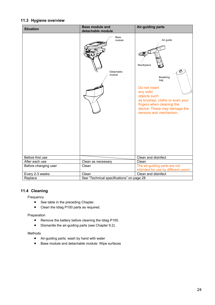#### <span id="page-22-0"></span>**11.3 Hygiene overview**

| <b>Situation</b>     | <b>Base module and</b>                    | <b>Air-guiding parts</b>                                                                                                                                                                                                        |
|----------------------|-------------------------------------------|---------------------------------------------------------------------------------------------------------------------------------------------------------------------------------------------------------------------------------|
|                      | detachable module                         |                                                                                                                                                                                                                                 |
|                      | Base<br>module<br>Detachable<br>module    | Air guide<br>Mouthpiece<br>Ø<br><b>Breathing</b><br>bag<br>Do not insert<br>any solid<br>objects such<br>as brushes, cloths or even your<br>fingers when cleaning the<br>device. These may damage the<br>sensors and mechanism. |
| Before first use     |                                           | Clean and disinfect                                                                                                                                                                                                             |
| After each use       | Clean as necessary                        | Clean                                                                                                                                                                                                                           |
| Before changing user | Clean                                     | The air-guiding parts are not                                                                                                                                                                                                   |
|                      |                                           | intended for use by different users!                                                                                                                                                                                            |
| Every 2-3 weeks      | Clean                                     | Clean and disinfect                                                                                                                                                                                                             |
| Replace              | See "Technical specifications" on page 28 |                                                                                                                                                                                                                                 |

## <span id="page-22-1"></span>**11.4 Cleaning**

Frequency

- See table in the preceding Chapter.
- Clean the Idiag P100 parts as required.

Preparation

- Remove the battery before cleaning the Idiag P100.
- Dismantle the air-guiding parts (see Chapter 9.2).

#### Methods

- Air-guiding parts: wash by hand with water
- Base module and detachable module: Wipe surfaces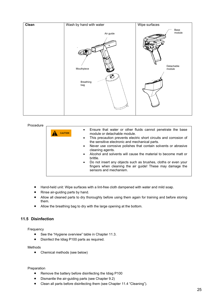

#### Procedure Ensure that water or other fluids cannot penetrate the base module or detachable module. This precaution prevents electric short circuits and corrosion of the sensitive electronic and mechanical parts. • Never use corrosive polishes that contain solvents or abrasive cleaning agents. • Alcohol and solvents will cause the material to become matt or brittle. • Do not insert any objects such as brushes, cloths or even your fingers when cleaning the air guide! These may damage the sensors and mechanism. **CAUTION**

- Hand-held unit: Wipe surfaces with a lint-free cloth dampened with water and mild soap.
- Rinse air-guiding parts by hand.
- Allow all cleaned parts to dry thoroughly before using them again for training and before storing them.
- Allow the breathing bag to dry with the large opening at the bottom.

#### <span id="page-23-0"></span>**11.5 Disinfection**

Frequency

- See the "Hygiene overview" table in Chapter 11.3.
- Disinfect the Idiag P100 parts as required.

#### Methods

• Chemical methods (see below)

#### Preparation

- Remove the battery before disinfecting the Idiag P100
- Dismantle the air-guiding parts (see Chapter 9.2)
- Clean all parts before disinfecting them (see Chapter 11.4 "Cleaning").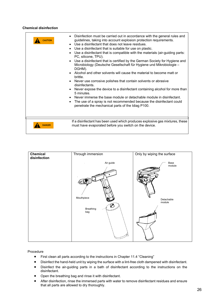#### **Chemical disinfection**

| <b>CAUTION</b> | Disinfection must be carried out in accordance with the general rules and<br>$\bullet$<br>guidelines, taking into account explosion protection requirements.<br>• Use a disinfectant that does not leave residues.<br>Use a disinfectant that is suitable for use on plastic.<br>$\bullet$<br>Use a disinfectant that is compatible with the materials (air-guiding parts:<br>$\bullet$<br>PC, silicone, TPU).<br>Use a disinfectant that is certified by the German Society for Hygiene and<br>$\bullet$<br>Microbiology (Deutsche Gesellschaft für Hygiene und Mikrobiologie -<br>DGHM).<br>Alcohol and other solvents will cause the material to become matt or<br>$\bullet$<br>brittle.<br>Never use corrosive polishes that contain solvents or abrasive<br>$\bullet$<br>disinfectants.<br>Never expose the device to a disinfectant containing alcohol for more than<br>$\bullet$<br>5 minutes.<br>Never immerse the base module or detachable module in disinfectant.<br>$\bullet$<br>The use of a spray is not recommended because the disinfectant could<br>$\bullet$<br>penetrate the mechanical parts of the Idiag P100. |
|----------------|-------------------------------------------------------------------------------------------------------------------------------------------------------------------------------------------------------------------------------------------------------------------------------------------------------------------------------------------------------------------------------------------------------------------------------------------------------------------------------------------------------------------------------------------------------------------------------------------------------------------------------------------------------------------------------------------------------------------------------------------------------------------------------------------------------------------------------------------------------------------------------------------------------------------------------------------------------------------------------------------------------------------------------------------------------------------------------------------------------------------------------------|
| <b>DANGER</b>  | If a disinfectant has been used which produces explosive gas mixtures, these<br>must have evaporated before you switch on the device.                                                                                                                                                                                                                                                                                                                                                                                                                                                                                                                                                                                                                                                                                                                                                                                                                                                                                                                                                                                               |



#### Procedure

- First clean all parts according to the instructions in Chapter 11.4 "Cleaning"
- Disinfect the hand-held unit by wiping the surface with a lint-free cloth dampened with disinfectant.
- Disinfect the air-guiding parts in a bath of disinfectant according to the instructions on the disinfectant.
- Open the breathing bag and rinse it with disinfectant.
- After disinfection, rinse the immersed parts with water to remove disinfectant residues and ensure that all parts are allowed to dry thoroughly.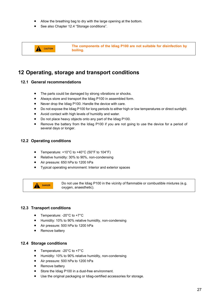- Allow the breathing bag to dry with the large opening at the bottom.
- See also Chapter 12.4 "Storage conditions".



### <span id="page-25-0"></span>**12 Operating, storage and transport conditions**

#### <span id="page-25-1"></span>**12.1 General recommendations**

- The parts could be damaged by strong vibrations or shocks.
- Always store and transport the Idiag P100 in assembled form.
- Never drop the Idiag P100. Handle the device with care.
- Do not expose the Idiag P100 for long periods to either high or low temperatures or direct sunlight.
- Avoid contact with high levels of humidity and water.
- Do not place heavy objects onto any part of the Idiag P100.
- Remove the battery from the Idiag P100 if you are not going to use the device for a period of several days or longer.

#### <span id="page-25-2"></span>**12.2 Operating conditions**

- Temperature: +10°C to +40°C (50°F to 104°F)
- Relative humidity: 30% to 90%, non-condensing
- Air pressure: 650 hPa to 1200 hPa
- Typical operating environment: Interior and exterior spaces

**A** DANGER

Do not use the Idiag P100 in the vicinity of flammable or combustible mixtures (e.g. oxygen, anaesthetic).

#### <span id="page-25-3"></span>**12.3 Transport conditions**

- Temperature: -20°C to +7°C
- Humidity: 10% to 90% relative humidity, non-condensing
- Air pressure: 500 hPa to 1200 hPa
- Remove battery

#### <span id="page-25-4"></span>**12.4 Storage conditions**

- Temperature: -20°C to +7°C
- Humidity: 10% to 90% relative humidity, non-condensing
- Air pressure: 500 hPa to 1200 hPa
- Remove battery
- Store the Idiag P100 in a dust-free environment.
- Use the original packaging or Idiag-certified accessories for storage.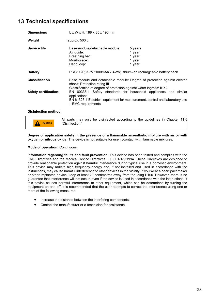## <span id="page-26-0"></span>**13 Technical specifications**

| <b>Dimensions</b>            | $L \times W \times H$ : 188 x 85 x 190 mm                                                                                                                                             |                                                 |  |
|------------------------------|---------------------------------------------------------------------------------------------------------------------------------------------------------------------------------------|-------------------------------------------------|--|
| Weight                       | approx. $500$ g                                                                                                                                                                       |                                                 |  |
| Service life                 | Base module/detachable module:<br>Air guide:<br>Breathing bag:<br>Mouthpiece:<br>Hand loop:                                                                                           | 5 years<br>1 year<br>1 year<br>1 year<br>1 year |  |
| <b>Battery</b>               | RRC1120; 3.7V 2000mAh 7.4Wh; lithium-ion rechargeable battery pack                                                                                                                    |                                                 |  |
| <b>Classification</b>        | Base module and detachable module: Degree of protection against electric<br>shock: Protection rating III<br>Classification of degree of protection against water ingress: IPX2        |                                                 |  |
| <b>Safety certification:</b> | EN 60335-1 Safety standards for household appliances and similar<br>applications<br>EN 61326-1 Electrical equipment for measurement, control and laboratory use<br>- EMC requirements |                                                 |  |
| <b>Disinfection method:</b>  |                                                                                                                                                                                       |                                                 |  |

All parts may only be disinfected according to the guidelines in Chapter 11.5 "Disinfection". **CAUTION**

**Degree of application safety in the presence of a flammable anaesthetic mixture with air or with oxygen or nitrous oxide:** The device is not suitable for use in/contact with flammable mixtures.

#### **Mode of operation:** Continuous.

**Information regarding faults and fault prevention:** This device has been tested and complies with the EMC Directives and the Medical Device Directives IEC 601-1-2:1994. These Directives are designed to provide reasonable protection against harmful interference during typical use in a domestic environment. This device may radiate high frequency energy and, if not installed and used in accordance with the instructions, may cause harmful interference to other devices in the vicinity. If you wear a heart pacemaker or other implanted device, keep at least 20 centimetres away from the Idiag P100. However, there is no guarantee that interference will not occur, even if the device is used in accordance with the instructions. If this device causes harmful interference to other equipment, which can be determined by turning the equipment on and off, it is recommended that the user attempts to correct the interference using one or more of the following measures:

- Increase the distance between the interfering components.
- Contact the manufacturer or a technician for assistance.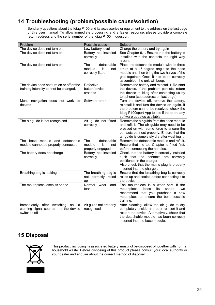## <span id="page-27-0"></span>**14 Troubleshooting (problem/possible cause/solution)**

Send any questions about the Idiag P100 and its accessories or equipment to the address on the last page of this user manual. To allow immediate processing and a faster response, please provide a complete return address and the serial number of the Idiag P100 in question.

| Problem                                                                                      | Possible cause                                               | Solution                                                                                                                                                                                                                           |
|----------------------------------------------------------------------------------------------|--------------------------------------------------------------|------------------------------------------------------------------------------------------------------------------------------------------------------------------------------------------------------------------------------------|
| The device does not turn on                                                                  | Low battery level                                            | Charge the battery and try again                                                                                                                                                                                                   |
| The device does not turn on                                                                  | Battery not installed<br>correctly                           | See Chapter 9.1. Ensure that the battery is<br>installed with the contacts the right way<br>around.                                                                                                                                |
| The device does not turn on                                                                  | detachable<br>The<br>module<br>is<br>not<br>correctly fitted | Place the detachable module with its three<br>struts at a 45-degree angle to the base<br>module and then bring the two halves of the<br>grip together. Once it has been correctly<br>assembled, the unit will beep.                |
| The device does not turn on or off or the<br>training intensity cannot be changed.           | Defective<br>button/device<br>crashed                        | Remove the battery and reinstall it. Re-start<br>the device. If the problem persists, return<br>the device to Idiag after contacting us by<br>telephone (see address on last page).                                                |
| Menu navigation does not work as<br>desired.                                                 | Software error                                               | Turn the device off, remove the battery,<br>reinstall it and turn the device on again. If<br>the problem cannot be resolved, check the<br>Idiag P100sport App to see if there are any<br>software updates available.               |
| The air guide is not recognised                                                              | Air guide not fitted<br>correctly                            | Remove the air guide from the base module<br>and refit it. The air guide may need to be<br>pressed on with some force to ensure the<br>contacts connect properly. Ensure that the<br>air guide is completely dry after washing it. |
| The base module and detachable<br>module cannot be properly connected                        | detachable<br>The<br>module<br>is<br>not<br>properly engaged | Remove the detachable module and refit it.<br>Ensure that the top Chapter is fitted first,<br>before connecting the handles.                                                                                                       |
| The battery does not charge                                                                  | Battery not installed<br>correctly                           | Check that the battery is correctly installed<br>such that the contacts are correctly<br>positioned in the charger.<br>Also check that the mains plug is properly<br>inserted into the charger.                                    |
| Breathing bag is leaking                                                                     | The breathing bag is<br>not correctly rolled<br>up           | Ensure that the breathing bag is correctly<br>rolled up and sealed before connecting it to<br>the device.                                                                                                                          |
| The mouthpiece loses its shape                                                               | Normal<br>and<br>wear<br>tear                                | The mouthpiece is a wear part. If the<br>loses<br>mouthpiece<br>its<br>shape,<br>we<br>recommend that you purchase a new<br>mouthpiece to ensure the best possible<br>training.                                                    |
| Immediately after switching on,<br>a<br>warning signal sounds and the device<br>switches off | Air guide not properly<br>recognised                         | After cleaning, allow the air guide to dry<br>completely (inside and out), reinsert it and<br>restart the device. Alternatively, check that<br>the detachable module has been correctly<br>inserted into the base module.          |

## <span id="page-27-1"></span>**15 Disposal**



This product, including its associated battery, must not be disposed of together with normal household waste. Before disposing of this product please consult your local authority or your dealer and enquire about the correct method of disposal.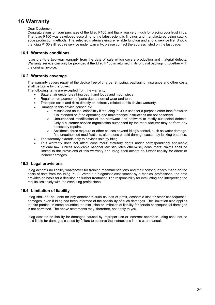## <span id="page-28-0"></span>**16 Warranty**

Dear Customer,

Congratulations on your purchase of the Idiag P100 and thank you very much for placing your trust in us. The Idiag P100 was developed according to the latest scientific findings and manufactured using cutting edge production methods. The selected materials ensure reliable function and a long service life. Should the Idiag P100 still require service under warranty, please contact the address listed on the last page.

#### <span id="page-28-1"></span>**16.1 Warranty conditions**

Idiag grants a two-year warranty from the date of sale which covers production and material defects. Warranty service can only be provided if the Idiag P100 is returned in its original packaging together with the original invoice.

#### <span id="page-28-2"></span>**16.2 Warranty coverage**

The warranty covers repair of the device free of charge. Shipping, packaging, insurance and other costs shall be borne by the buyer.

The following items are excepted from the warranty:

- Battery, air guide, breathing bag, hand loops and mouthpiece
- Repair or replacement of parts due to normal wear and tear.
- Transport costs and risks directly or indirectly related to this device warranty.
- Damage to this device caused by:
	- $\circ$  Misuse and abuse, especially if the Idiag P100 is used for a purpose other than for which it is intended or if the operating and maintenance instructions are not observed.
	- $\circ$  Unauthorised modification of the hardware and software to rectify suspected defects. Only a customer service organisation authorised by the manufacturer may perform any necessary repairs.
	- $\circ$  Accidents, force majeure or other causes beyond Idiag's control, such as water damage, fire, unauthorised modifications, alterations or acid damage caused by leaking batteries.
- The warranty extends only to devices sold by Idiag.
- This warranty does not affect consumers' statutory rights under correspondingly applicable national law. Unless applicable national law stipulates otherwise, consumers' claims shall be limited to the provisions of this warranty and Idiag shall accept no further liability for direct or indirect damages.

#### <span id="page-28-3"></span>**16.3 Legal provisions**

Idiag accepts no liability whatsoever for training recommendations and their consequences made on the basis of data from the Idiag P100. Without a diagnostic assessment by a medical professional the data provides no basis for a decision on further treatment. The responsibility for evaluating and interpreting the results lies solely with the executing professional.

#### <span id="page-28-4"></span>**16.4 Limitation of liability**

Idiag shall not be liable for any detriments such as loss of profit, economic loss or other consequential damages, even if Idiag had been informed of the possibility of such damages. This limitation also applies to third parties. In some countries the exclusion or limitation of liability for certain consequential damages is not permitted. The above statements may, therefore, not apply to you.

Idiag accepts no liability for damages caused by improper use or incorrect operation. Idiag shall not be held liable for damages caused by failure to observe the instructions in this user manual.